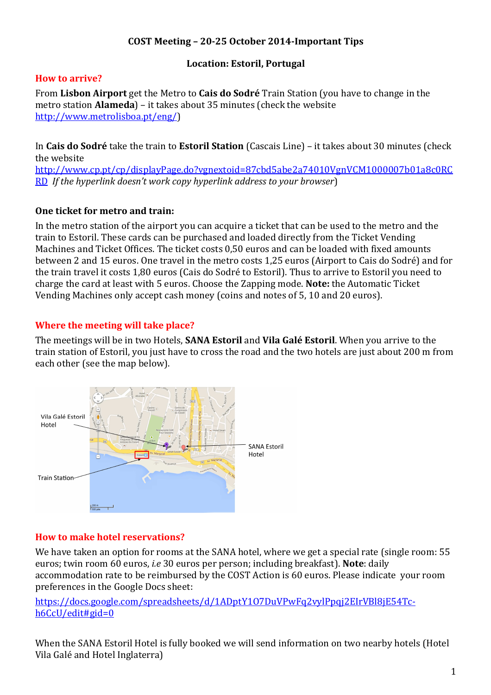# **COST Meeting – 20-25 October 2014-Important Tips**

# **Location: Estoril, Portugal**

#### **How to arrive?**

From **Lisbon Airport** get the Metro to **Cais do Sodré** Train Station (you have to change in the metro station **Alameda**) – it takes about 35 minutes (check the website http://www.metrolisboa.pt/eng/)

In **Cais do Sodré** take the train to **Estoril Station** (Cascais Line) – it takes about 30 minutes (check the website

http://www.cp.pt/cp/displayPage.do?vgnextoid=87cbd5abe2a74010VgnVCM1000007b01a8c0RC RD *If the hyperlink doesn't work copy hyperlink address to your browser*)

#### **One ticket for metro and train:**

In the metro station of the airport you can acquire a ticket that can be used to the metro and the train to Estoril. These cards can be purchased and loaded directly from the Ticket Vending Machines and Ticket Offices. The ticket costs 0,50 euros and can be loaded with fixed amounts between 2 and 15 euros. One travel in the metro costs 1,25 euros (Airport to Cais do Sodré) and for the train travel it costs 1,80 euros (Cais do Sodré to Estoril). Thus to arrive to Estoril you need to charge the card at least with 5 euros. Choose the Zapping mode. **Note:** the Automatic Ticket Vending Machines only accept cash money (coins and notes of 5, 10 and 20 euros).

#### **Where the meeting will take place?**

The meetings will be in two Hotels, **SANA Estoril** and **Vila Galé Estoril**. When you arrive to the train station of Estoril, you just have to cross the road and the two hotels are just about 200 m from each other (see the map below).



# **How to make hotel reservations?**

We have taken an option for rooms at the SANA hotel, where we get a special rate (single room: 55 euros; twin room 60 euros, *i.e* 30 euros per person; including breakfast). **Note**: daily accommodation rate to be reimbursed by the COST Action is 60 euros. Please indicate your room preferences in the Google Docs sheet:

https://docs.google.com/spreadsheets/d/1ADptY107DuVPwFq2vylPpqj2EIrVBl8jE54Tch6CcU/edit#gid=0

When the SANA Estoril Hotel is fully booked we will send information on two nearby hotels (Hotel Vila Galé and Hotel Inglaterra)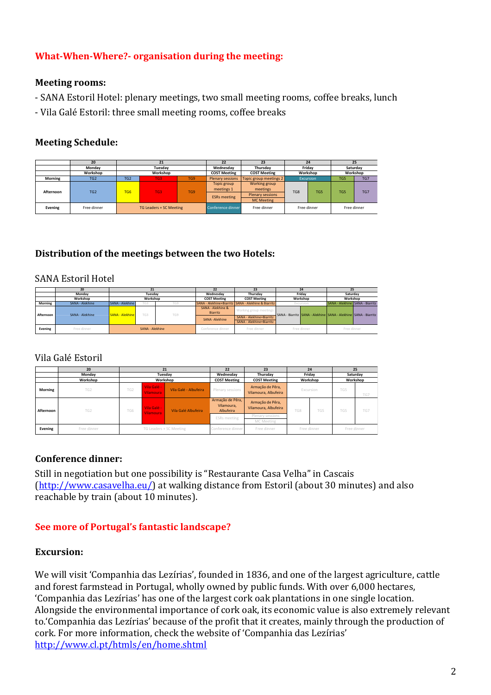# **What-When-Where?- organisation during the meeting:**

### **Meeting rooms:**

- SANA Estoril Hotel: plenary meetings, two small meeting rooms, coffee breaks, lunch
- Vila Galé Estoril: three small meeting rooms, coffee breaks

# **Meeting Schedule:**

|           | 20              | 21                      |          |     | 22                        | 23                        | 24          |     | 25                     |     |
|-----------|-----------------|-------------------------|----------|-----|---------------------------|---------------------------|-------------|-----|------------------------|-----|
|           | Mondav          |                         | Tuesdav  |     | Wednesday                 | Thursdav                  | Fridav      |     | Saturdav               |     |
|           | Workshop        |                         | Workshop |     | <b>COST Meeting</b>       | <b>COST Meeting</b>       | Workshop    |     | Workshop               |     |
| Morning   | TG <sub>2</sub> | TG <sub>2</sub>         | VG3'     | TG9 | <b>Plenary sessions</b>   | Topic group meetings 2    | Excursion   |     | TG7<br>TG <sub>5</sub> |     |
| Afternoon | TG <sub>2</sub> | TG <sub>6</sub>         | TG3'     | TG9 | Topic group<br>meetings 1 | Working group<br>meetings | TG8         | TG5 | TG5                    | TG7 |
|           |                 |                         |          |     | <b>ESRs</b> meeting       | <b>Plenary sessions</b>   |             |     |                        |     |
|           |                 |                         |          |     |                           | <b>MC Meeting</b>         |             |     |                        |     |
| Evening   | Free dinner     | TG Leaders + SC Meeting |          |     | Conference dinner         | Free dinner               | Free dinner |     | Free dinner            |     |

# **Distribution of the meetings between the two Hotels:**

#### SANA Estoril Hotel

|           | 20              |                        |     |     |                     | 23                                                    | 24                                                                    |                                   |  |  |
|-----------|-----------------|------------------------|-----|-----|---------------------|-------------------------------------------------------|-----------------------------------------------------------------------|-----------------------------------|--|--|
|           | Monday          | Tuesdav                |     |     | Wednesdav           | Thursday                                              | Fridav                                                                | Saturdav                          |  |  |
|           | Workshop        | Workshop               |     |     | <b>COST Meeting</b> | <b>COST Meeting</b>                                   | Workshop                                                              | Workshop                          |  |  |
| Morning   | SANA - Alekhine | SANA - Alekhine        | TG3 | TG9 |                     | SANA - Alekhine+Biarritz   SANA - Alekhine & Biarritz | Excursion                                                             | SANA - Alekhine   SANA - Biarritz |  |  |
| Afternoon | SANA - Alekhine | SANA - Alekhine<br>TG3 |     | TG9 | SANA - Alekhine &   | Working group meetings                                |                                                                       |                                   |  |  |
|           |                 |                        |     |     | Biarritz            |                                                       | SANA - Biarritz   SANA - Alekhine   SANA - Alekhine   SANA - Biarritz |                                   |  |  |
|           |                 |                        |     |     | SANA - Alekhine     | SANA - Alekhine+Biarritz                              |                                                                       |                                   |  |  |
|           |                 |                        |     |     |                     | SANA - Alekhine+Biarritz                              |                                                                       |                                   |  |  |
| Evening   | Free dinner     | SANA - Alekhine        |     |     | Conference dinner   | Free dinner                                           | Free dinner                                                           | Free dinner                       |  |  |
|           |                 |                        |     |     |                     |                                                       |                                                                       |                                   |  |  |

# Vila Galé Estoril

|           | 20              | 21                      |                                 |                       | 22                                          | 23                                       | 24          |     | 25          |     |
|-----------|-----------------|-------------------------|---------------------------------|-----------------------|---------------------------------------------|------------------------------------------|-------------|-----|-------------|-----|
|           | Monday          | Tuesdav                 |                                 |                       | Wednesdav                                   | Thursday                                 | Fridav      |     | Saturdav    |     |
|           | Workshop        | Workshop                |                                 |                       | <b>COST Meeting</b>                         | <b>COST Meeting</b>                      | Workshop    |     | Workshop    |     |
| Morning   | TG <sub>2</sub> | TG <sub>2</sub>         | Vila Galé -<br><b>Vilamoura</b> | Vila Galé - Albufeira | Plenary sessions                            | Armação de Pêra,<br>Vilamoura, Albufeira | Excursion   |     | TG5<br>TG7  |     |
| Afternoon | TG <sub>2</sub> | TG6<br><b>Vilamoura</b> | Vila Galé -                     | Vila Galé Albufeira   | Armação de Pêra,<br>Vilamoura,<br>Albufeira | Armação de Pêra,<br>Vilamoura, Albufeira | TG8         | TG5 | TG5         | TG7 |
|           |                 |                         |                                 |                       | <b>ESRs</b> meeting                         | Plenary sessions<br>MC Meeting           |             |     |             |     |
| Evening   | Free dinner     | TG Leaders + SC Meeting |                                 |                       | Conference dinner                           | Free dinner                              | Free dinner |     | Free dinner |     |

# **Conference dinner:**

Still in negotiation but one possibility is "Restaurante Casa Velha" in Cascais (http://www.casavelha.eu/) at walking distance from Estoril (about 30 minutes) and also reachable by train (about 10 minutes).

# **See more of Portugal's fantastic landscape?**

#### **Excursion:**

We will visit 'Companhia das Lezírias', founded in 1836, and one of the largest agriculture, cattle and forest farmstead in Portugal, wholly owned by public funds. With over 6,000 hectares, 'Companhia das Lezírias' has one of the largest cork oak plantations in one single location. Alongside the environmental importance of cork oak, its economic value is also extremely relevant to.'Companhia das Lezírias' because of the profit that it creates, mainly through the production of cork. For more information, check the website of 'Companhia das Lezírias' http://www.cl.pt/htmls/en/home.shtml